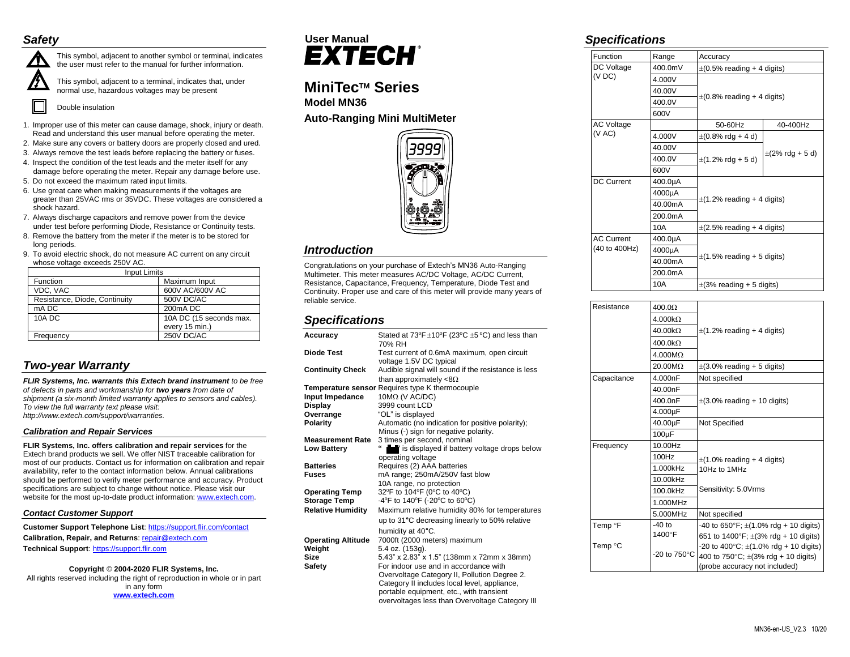# *Safety*



This symbol, adjacent to another symbol or terminal, indicates the user must refer to the manual for further information.

This symbol, adjacent to a terminal, indicates that, under normal use, hazardous voltages may be present

Double insulation

- 1. Improper use of this meter can cause damage, shock, injury or death. Read and understand this user manual before operating the meter.
- 2. Make sure any covers or battery doors are properly closed and ured.
- 3. Always remove the test leads before replacing the battery or fuses.
- 4. Inspect the condition of the test leads and the meter itself for any damage before operating the meter. Repair any damage before use.

5. Do not exceed the maximum rated input limits.

- 6. Use great care when making measurements if the voltages are greater than 25VAC rms or 35VDC. These voltages are considered a shock hazard.
- 7. Always discharge capacitors and remove power from the device under test before performing Diode, Resistance or Continuity tests.
- 8. Remove the battery from the meter if the meter is to be stored for long periods.
- 9. To avoid electric shock, do not measure AC current on any circuit whose voltage exceeds 250V AC.

| <b>Input Limits</b>           |                         |  |
|-------------------------------|-------------------------|--|
| Function                      | Maximum Input           |  |
| VDC, VAC                      | 600V AC/600V AC         |  |
| Resistance, Diode, Continuity | 500V DC/AC              |  |
| mA DC                         | 200 <sub>m</sub> A DC   |  |
| <b>10A DC</b>                 | 10A DC (15 seconds max. |  |
|                               | every 15 min.)          |  |
| Frequency                     | 250V DC/AC              |  |

# *Two-year Warranty*

*FLIR Systems, Inc. warrants this Extech brand instrument to be free of defects in parts and workmanship for two years from date of shipment (a six-month limited warranty applies to sensors and cables). To view the full warranty text please visit: http://www.extech.com/support/warranties.*

### *Calibration and Repair Services*

**FLIR Systems, Inc. offers calibration and repair services** for the Extech brand products we sell. We offer NIST traceable calibration for most of our products. Contact us for information on calibration and repair availability, refer to the contact information below. Annual calibrations should be performed to verify meter performance and accuracy. Product specifications are subject to change without notice. Please visit our website for the most up-to-date product information: [www.extech.com.](http://www.extech.com/)

### *Contact Customer Support*

**Customer Support Telephone List**: <https://support.flir.com/contact> **Calibration, Repair, and Returns[: repair@extech.com](mailto:repair@extech.com) Technical Support**: [https://support.flir.com](https://support.flir.com/)

## **Copyright** © **2004-2020 FLIR Systems, Inc.**

All rights reserved including the right of reproduction in whole or in part in any form **[www.extech.com](http://www.extech.com/)**



# **MiniTecTM Series Model MN36**

**Auto-Ranging Mini MultiMeter**



# *Introduction*

Congratulations on your purchase of Extech's MN36 Auto-Ranging Multimeter. This meter measures AC/DC Voltage, AC/DC Current, Resistance, Capacitance, Frequency, Temperature, Diode Test and Continuity. Proper use and care of this meter will provide many years of reliable service.

# *Specifications*

| Accuracy                                                                                                                                                                                                              | Stated at $73^{\circ}F \pm 10^{\circ}F$ (23 $^{\circ}C \pm 5^{\circ}C$ ) and less than<br>70% RH                                                                                                                                                                                                                                                                                                                                                                                                                                                                                                                                                                                                                                           |
|-----------------------------------------------------------------------------------------------------------------------------------------------------------------------------------------------------------------------|--------------------------------------------------------------------------------------------------------------------------------------------------------------------------------------------------------------------------------------------------------------------------------------------------------------------------------------------------------------------------------------------------------------------------------------------------------------------------------------------------------------------------------------------------------------------------------------------------------------------------------------------------------------------------------------------------------------------------------------------|
| Diode Test                                                                                                                                                                                                            | Test current of 0.6mA maximum, open circuit<br>voltage 1.5V DC typical                                                                                                                                                                                                                                                                                                                                                                                                                                                                                                                                                                                                                                                                     |
| <b>Continuity Check</b>                                                                                                                                                                                               | Audible signal will sound if the resistance is less<br>than approximately $<8\Omega$                                                                                                                                                                                                                                                                                                                                                                                                                                                                                                                                                                                                                                                       |
|                                                                                                                                                                                                                       | Temperature sensor Requires type K thermocouple                                                                                                                                                                                                                                                                                                                                                                                                                                                                                                                                                                                                                                                                                            |
| Input Impedance                                                                                                                                                                                                       | $10M\Omega$ (V AC/DC)                                                                                                                                                                                                                                                                                                                                                                                                                                                                                                                                                                                                                                                                                                                      |
|                                                                                                                                                                                                                       | 3999 count LCD                                                                                                                                                                                                                                                                                                                                                                                                                                                                                                                                                                                                                                                                                                                             |
|                                                                                                                                                                                                                       |                                                                                                                                                                                                                                                                                                                                                                                                                                                                                                                                                                                                                                                                                                                                            |
|                                                                                                                                                                                                                       |                                                                                                                                                                                                                                                                                                                                                                                                                                                                                                                                                                                                                                                                                                                                            |
|                                                                                                                                                                                                                       |                                                                                                                                                                                                                                                                                                                                                                                                                                                                                                                                                                                                                                                                                                                                            |
|                                                                                                                                                                                                                       |                                                                                                                                                                                                                                                                                                                                                                                                                                                                                                                                                                                                                                                                                                                                            |
|                                                                                                                                                                                                                       | 66                                                                                                                                                                                                                                                                                                                                                                                                                                                                                                                                                                                                                                                                                                                                         |
|                                                                                                                                                                                                                       |                                                                                                                                                                                                                                                                                                                                                                                                                                                                                                                                                                                                                                                                                                                                            |
| <b>Batteries</b>                                                                                                                                                                                                      |                                                                                                                                                                                                                                                                                                                                                                                                                                                                                                                                                                                                                                                                                                                                            |
| <b>Fuses</b>                                                                                                                                                                                                          |                                                                                                                                                                                                                                                                                                                                                                                                                                                                                                                                                                                                                                                                                                                                            |
|                                                                                                                                                                                                                       |                                                                                                                                                                                                                                                                                                                                                                                                                                                                                                                                                                                                                                                                                                                                            |
|                                                                                                                                                                                                                       |                                                                                                                                                                                                                                                                                                                                                                                                                                                                                                                                                                                                                                                                                                                                            |
|                                                                                                                                                                                                                       |                                                                                                                                                                                                                                                                                                                                                                                                                                                                                                                                                                                                                                                                                                                                            |
|                                                                                                                                                                                                                       |                                                                                                                                                                                                                                                                                                                                                                                                                                                                                                                                                                                                                                                                                                                                            |
|                                                                                                                                                                                                                       | up to 31°C decreasing linearly to 50% relative                                                                                                                                                                                                                                                                                                                                                                                                                                                                                                                                                                                                                                                                                             |
|                                                                                                                                                                                                                       |                                                                                                                                                                                                                                                                                                                                                                                                                                                                                                                                                                                                                                                                                                                                            |
|                                                                                                                                                                                                                       |                                                                                                                                                                                                                                                                                                                                                                                                                                                                                                                                                                                                                                                                                                                                            |
|                                                                                                                                                                                                                       |                                                                                                                                                                                                                                                                                                                                                                                                                                                                                                                                                                                                                                                                                                                                            |
| Size                                                                                                                                                                                                                  |                                                                                                                                                                                                                                                                                                                                                                                                                                                                                                                                                                                                                                                                                                                                            |
|                                                                                                                                                                                                                       |                                                                                                                                                                                                                                                                                                                                                                                                                                                                                                                                                                                                                                                                                                                                            |
|                                                                                                                                                                                                                       |                                                                                                                                                                                                                                                                                                                                                                                                                                                                                                                                                                                                                                                                                                                                            |
|                                                                                                                                                                                                                       |                                                                                                                                                                                                                                                                                                                                                                                                                                                                                                                                                                                                                                                                                                                                            |
|                                                                                                                                                                                                                       |                                                                                                                                                                                                                                                                                                                                                                                                                                                                                                                                                                                                                                                                                                                                            |
|                                                                                                                                                                                                                       | overvoltages less than Overvoltage Category III                                                                                                                                                                                                                                                                                                                                                                                                                                                                                                                                                                                                                                                                                            |
| <b>Display</b><br>Overrange<br>Polarity<br><b>Measurement Rate</b><br><b>Low Battery</b><br><b>Operating Temp</b><br><b>Storage Temp</b><br><b>Relative Humidity</b><br><b>Operating Altitude</b><br>Weight<br>Safety | "OL" is displayed<br>Automatic (no indication for positive polarity);<br>Minus (-) sign for negative polarity.<br>3 times per second, nominal<br>is displayed if battery voltage drops below<br>operating voltage<br>Requires (2) AAA batteries<br>mA range; 250mA/250V fast blow<br>10A range, no protection<br>32°F to 104°F (0°C to 40°C)<br>-4°F to 140°F (-20°C to 60°C)<br>Maximum relative humidity 80% for temperatures<br>humidity at 40°C.<br>7000ft (2000 meters) maximum<br>5.4 oz. (153g).<br>5.43" x 2.83" x 1.5" (138mm x 72mm x 38mm)<br>For indoor use and in accordance with<br>Overvoltage Category II, Pollution Degree 2.<br>Category II includes local level, appliance,<br>portable equipment, etc., with transient |

# *Specifications*

| Function                           | Range   | Accuracy                                |                      |
|------------------------------------|---------|-----------------------------------------|----------------------|
| DC Voltage<br>(VDC)                | 400.0mV | $\pm$ (0.5% reading + 4 digits)         |                      |
|                                    | 4.000V  |                                         |                      |
|                                    | 40.00V  | $\pm$ (0.8% reading + 4 digits)         |                      |
|                                    | 400.0V  |                                         |                      |
|                                    | 600V    |                                         |                      |
| <b>AC Voltage</b>                  |         | 50-60Hz                                 | 40-400Hz             |
| (V AC)                             | 4.000V  | $\pm (0.8\% \text{ rdg} + 4 \text{ d})$ |                      |
|                                    | 40.00V  |                                         |                      |
|                                    | 400.0V  | $\pm$ (1.2% rdg + 5 d)                  | $\pm$ (2% rdg + 5 d) |
|                                    | 600V    |                                         |                      |
| <b>DC Current</b>                  | 400.0µA |                                         |                      |
|                                    | 4000µA  | $\pm$ (1.2% reading + 4 digits)         |                      |
|                                    | 40.00mA |                                         |                      |
|                                    | 200.0mA |                                         |                      |
|                                    | 10A     | $\pm$ (2.5% reading + 4 digits)         |                      |
| <b>AC Current</b><br>(40 to 400Hz) | 400.0µA | $\pm$ (1.5% reading + 5 digits)         |                      |
|                                    | 4000µA  |                                         |                      |
|                                    | 40.00mA |                                         |                      |
|                                    | 200.0mA |                                         |                      |
|                                    | 10A     | $\pm$ (3% reading + 5 digits)           |                      |

| Resistance                | 400.0 <omega< td=""><td></td></omega<> |                                                                    |  |
|---------------------------|----------------------------------------|--------------------------------------------------------------------|--|
|                           | $4.000k\Omega$                         |                                                                    |  |
|                           | $40.00k\Omega$                         | $\pm$ (1.2% reading + 4 digits)                                    |  |
|                           | 400.0kΩ                                |                                                                    |  |
|                           | $4.000M\Omega$                         |                                                                    |  |
|                           | 20.00MΩ                                | $\pm$ (3.0% reading + 5 digits)                                    |  |
| Capacitance               | 4.000nF                                | Not specified                                                      |  |
|                           | 40.00nF                                |                                                                    |  |
|                           | 400.0nF                                | $\pm$ (3.0% reading + 10 digits)                                   |  |
|                           | 4.000µF                                |                                                                    |  |
|                           | 40.00µF                                | Not Specified                                                      |  |
|                           | $100\mu F$                             |                                                                    |  |
| Frequency                 | 10.00Hz                                |                                                                    |  |
|                           | 100Hz                                  | $\pm$ (1.0% reading + 4 digits)                                    |  |
|                           | 1.000kHz                               | 10Hz to 1MHz                                                       |  |
|                           | 10.00kHz                               |                                                                    |  |
|                           | 100.0kHz                               | Sensitivity: 5.0Vrms                                               |  |
|                           | 1.000MHz                               |                                                                    |  |
|                           | 5.000MHz                               | Not specified                                                      |  |
| Temp <b><sup>P</sup>F</b> | $-40$ to                               | -40 to 650°F; $\pm$ (1.0% rdg + 10 digits)                         |  |
|                           | 1400°F                                 | 651 to 1400°F; $\pm$ (3% rdg + 10 digits)                          |  |
| Temp °C                   | -20 to $750^{\circ}$ C                 | -20 to 400 $^{\circ}$ C; $\pm$ (1.0% rdg + 10 digits)              |  |
|                           |                                        | 400 to $750^{\circ}$ C; $\pm(3\% \text{ rdg} + 10 \text{ digits})$ |  |
|                           |                                        | (probe accuracy not included)                                      |  |